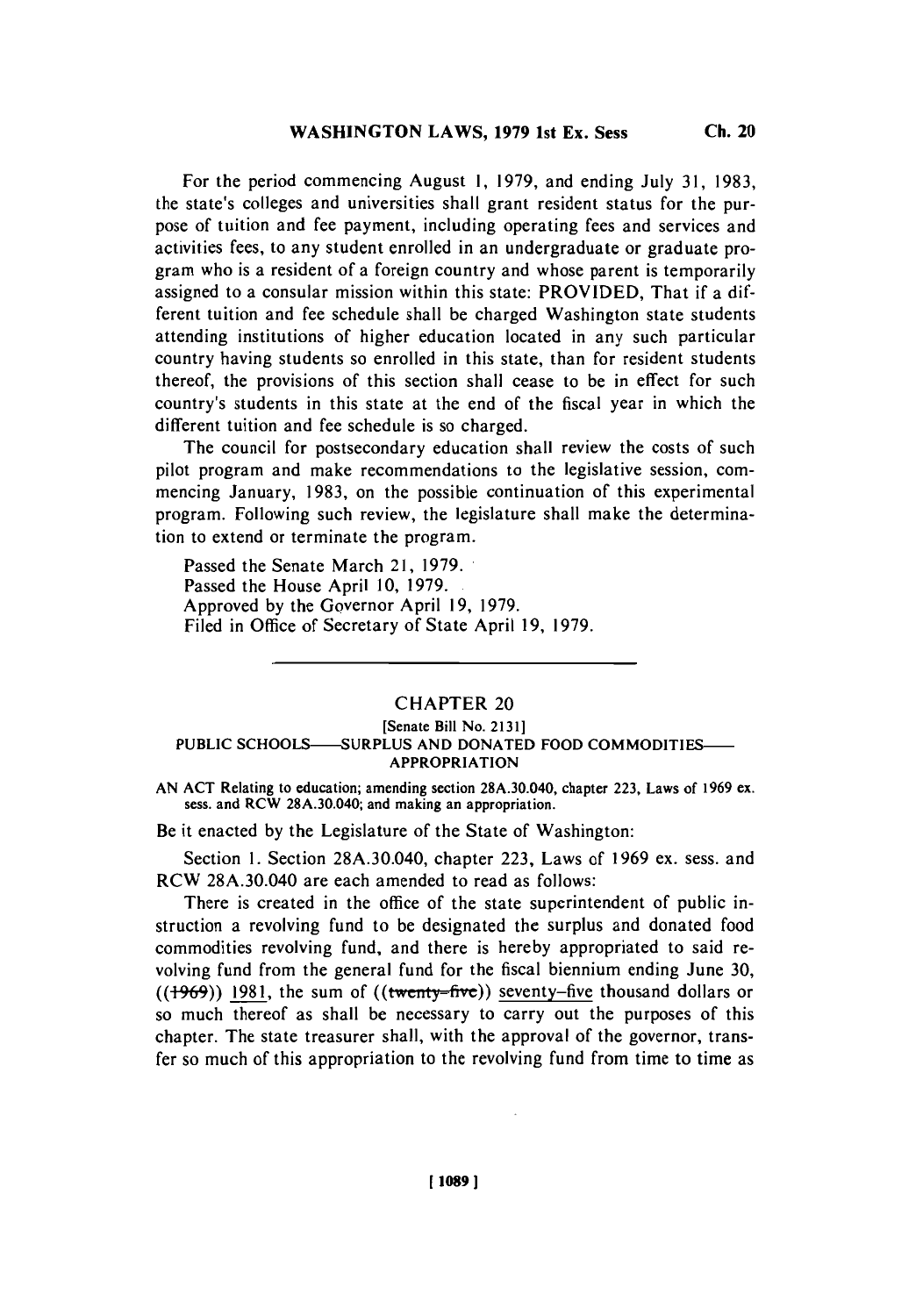**For the** period commencing August **1, 1979,** and ending July **31, 1983,** the state's colleges and universities shall grant resident status for the purpose of tuition and fee payment, including operating fees and services and activities fees, to any student enrolled in an undergraduate or graduate program who is a resident of a foreign country and whose parent is temporarily assigned to a consular mission within this state: PROVIDED, That if a different tuition and fee schedule shall be charged Washington state students attending institutions of higher education located in any such particular country having students so enrolled in this state, than for resident students thereof, the provisions of this section shall cease to be in effect for such country's students in this state at the end of the fiscal year in which the different tuition and fee schedule is so charged.

The council for postsecondary education shall review the costs of such pilot program and make recommendations to the legislative session, commencing January, **1983,** on the possible continuation of this experimental program. Following such review, the legislature shall make the determination to extend or terminate the program.

Passed the Senate March 21, **1979.** Passed the House April **10, 1979.** Approved **by** the Governor April **19, 1979.** Filed in Office of Secretary of State April **19, 1979.**

## CHAPTER 20

## **[Senate Bill No. 2131] PUBLIC SCHOOLS--SURPLUS AND DONATED FOOD COMMODITIES-APPROPRIATION**

**AN ACT Relating to education; amending section 28A.30.040, chapter 223, Laws of 1969 ex. sess. and RCW 28A.30.040; and making an appropriation.**

Be it enacted **by** the Legislature of the State of Washington:

Section **1.** Section **28A.30.040,** chapter **223,** Laws of **1969** ex. sess. and **RCW 28A.30.040** are each amended to read as follows:

There is created in the office of the state superintendent of public instruction a revolving fund to be designated the surplus and donated food commodities revolving fund, and there is hereby appropriated to said revolving fund from the general fund for the fiscal biennium ending June **30,** ((<del>1969</del>)) 1981, the sum of ((twenty-five)) seventy-five thousand dollars or so much thereof as shall be necessary to carry out the purposes of this chapter. The state treasurer shall, with the approval of the governor, transfer so much of this appropriation to the revolving fund from time to time as